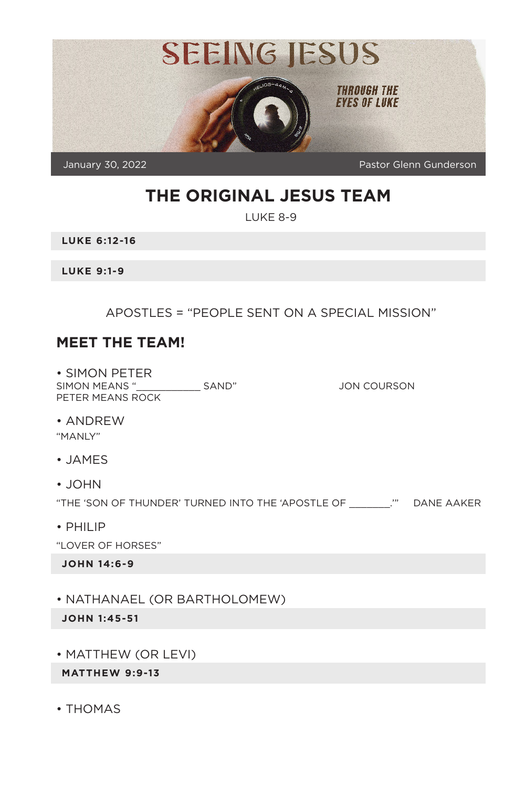

# **THE ORIGINAL JESUS TEAM**

LUKE 8-9

**LUKE 6:12-16**

**LUKE 9:1-9**

APOSTLES = "PEOPLE SENT ON A SPECIAL MISSION"

#### **MEET THE TEAM!**

• SIMON PETER SIMON MEANS "\_\_\_\_\_\_\_\_\_\_\_ SAND" JON COURSON PETER MEANS ROCK

• ANDREW

"MANLY"

- JAMES
- JOHN

"THE 'SON OF THUNDER' TURNED INTO THE 'APOSTLE OF \_\_\_\_\_\_\_.'" DANE AAKER

• PHILIP

"LOVER OF HORSES"

**JOHN 14:6-9**

• NATHANAEL (OR BARTHOLOMEW)

**JOHN 1:45-51**

• MATTHEW (OR LEVI)

**MATTHEW 9:9-13**

• THOMAS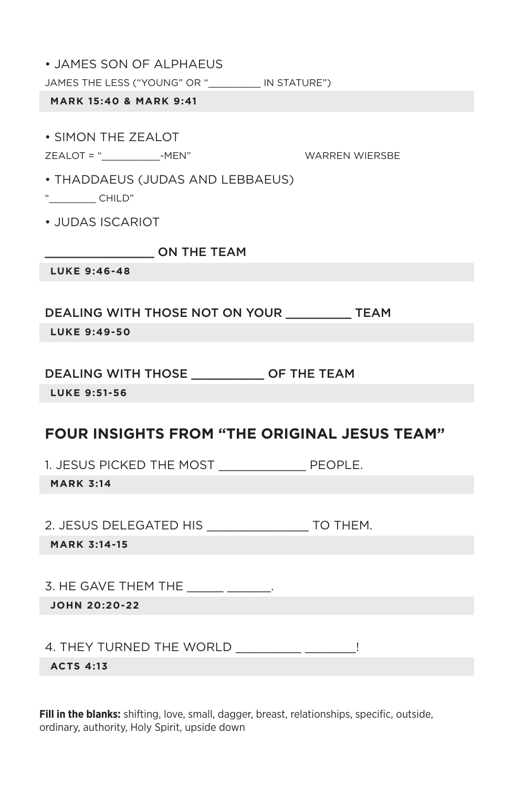|  |  |  |  | • JAMES SON OF ALPHAEUS |
|--|--|--|--|-------------------------|
|--|--|--|--|-------------------------|

JAMES THE LESS ("YOUNG" OR " \_\_\_\_\_\_\_ IN STATURE")

#### **MARK 15:40 & MARK 9:41**

• SIMON THE ZEALOT

#### ZEALOT = "\_\_\_\_\_\_\_\_\_\_-MEN" WARREN WIERSBE

- THADDAEUS (JUDAS AND LEBBAEUS)
- $"$  CHILD"
- JUDAS ISCARIOT

 $\sqrt{2}$  ON THE TEAM

**LUKE 9:46-48**

DEALING WITH THOSE NOT ON YOUR \_\_\_\_\_\_\_\_\_ TEAM

**LUKE 9:49-50**

#### DEALING WITH THOSE \_\_\_\_\_\_\_\_\_\_ OF THE TEAM

**LUKE 9:51-56**

# **FOUR INSIGHTS FROM "THE ORIGINAL JESUS TEAM"**

1. JESUS PICKED THE MOST \_\_\_\_\_\_\_\_\_\_\_\_ PEOPLE.

**MARK 3:14**

2. JESUS DELEGATED HIS \_\_\_\_\_\_\_\_\_\_\_\_\_\_ TO THEM.

**MARK 3:14-15**

3. HE GAVE THEM THE \_\_\_\_\_\_\_\_\_\_\_\_.

**JOHN 20:20-22**

4. THEY TURNED THE WORLD

**ACTS 4:13**

**Fill in the blanks:** shifting, love, small, dagger, breast, relationships, specific, outside, ordinary, authority, Holy Spirit, upside down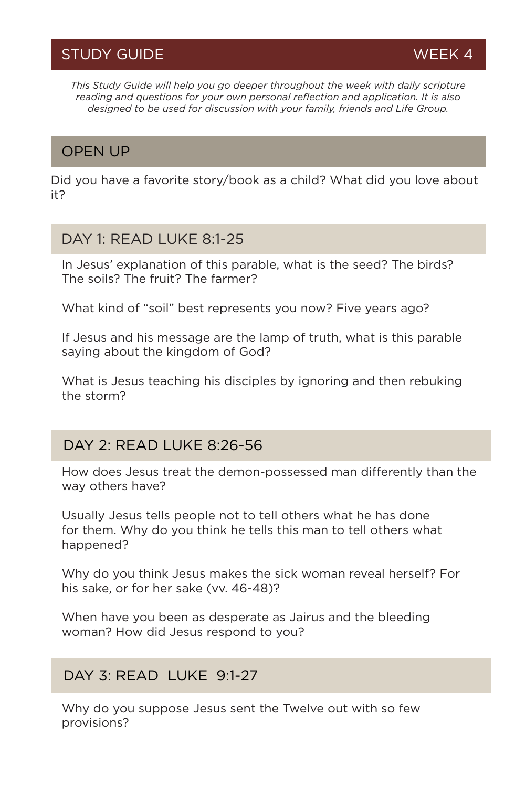*This Study Guide will help you go deeper throughout the week with daily scripture reading and questions for your own personal reflection and application. It is also designed to be used for discussion with your family, friends and Life Group.*

# OPEN UP

Did you have a favorite story/book as a child? What did you love about it?

#### DAY 1: READ LUKE 8:1-25

In Jesus' explanation of this parable, what is the seed? The birds? The soils? The fruit? The farmer?

What kind of "soil" best represents you now? Five years ago?

If Jesus and his message are the lamp of truth, what is this parable saying about the kingdom of God?

What is Jesus teaching his disciples by ignoring and then rebuking the storm?

### DAY 2: READ LUKE 8:26-56

How does Jesus treat the demon-possessed man differently than the way others have?

Usually Jesus tells people not to tell others what he has done for them. Why do you think he tells this man to tell others what happened?

Why do you think Jesus makes the sick woman reveal herself? For his sake, or for her sake (vv. 46-48)?

When have you been as desperate as Jairus and the bleeding woman? How did Jesus respond to you?

### DAY 3: READ LUKE 9:1-27

Why do you suppose Jesus sent the Twelve out with so few provisions?